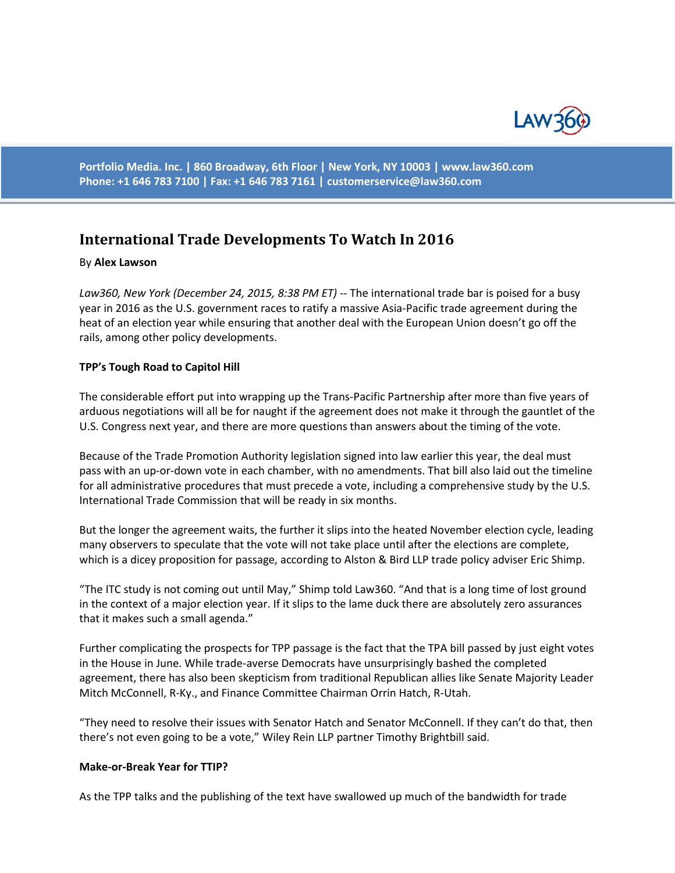

**Portfolio Media. Inc. | 860 Broadway, 6th Floor | New York, NY 10003 | www.law360.com Phone: +1 646 783 7100 | Fax: +1 646 783 7161 | [customerservice@law360.com](mailto:customerservice@law360.com)**

# **International Trade Developments To Watch In 2016**

### By **Alex Lawson**

*Law360, New York (December 24, 2015, 8:38 PM ET)* -- The international trade bar is poised for a busy year in 2016 as the U.S. government races to ratify a massive Asia-Pacific trade agreement during the heat of an election year while ensuring that another deal with the European Union doesn't go off the rails, among other policy developments.

### **TPP's Tough Road to Capitol Hill**

The considerable effort put into wrapping up the Trans-Pacific Partnership after more than five years of arduous negotiations will all be for naught if the agreement does not make it through the gauntlet of the U.S. Congress next year, and there are more questions than answers about the timing of the vote.

Because of the Trade Promotion Authority legislation signed into law earlier this year, the deal must pass with an up-or-down vote in each chamber, with no amendments. That bill also laid out the timeline for all administrative procedures that must precede a vote, including a comprehensive study by the U.S. International Trade Commission that will be ready in six months.

But the longer the agreement waits, the further it slips into the heated November election cycle, leading many observers to speculate that the vote will not take place until after the elections are complete, which is a dicey proposition for passage, according to Alston & Bird LLP trade policy adviser Eric Shimp.

"The ITC study is not coming out until May," Shimp told Law360. "And that is a long time of lost ground in the context of a major election year. If it slips to the lame duck there are absolutely zero assurances that it makes such a small agenda."

Further complicating the prospects for TPP passage is the fact that the TPA bill passed by just eight votes in the House in June. While trade-averse Democrats have unsurprisingly bashed the completed agreement, there has also been skepticism from traditional Republican allies like Senate Majority Leader Mitch McConnell, R-Ky., and Finance Committee Chairman Orrin Hatch, R-Utah.

"They need to resolve their issues with Senator Hatch and Senator McConnell. If they can't do that, then there's not even going to be a vote," Wiley Rein LLP partner Timothy Brightbill said.

#### **Make-or-Break Year for TTIP?**

As the TPP talks and the publishing of the text have swallowed up much of the bandwidth for trade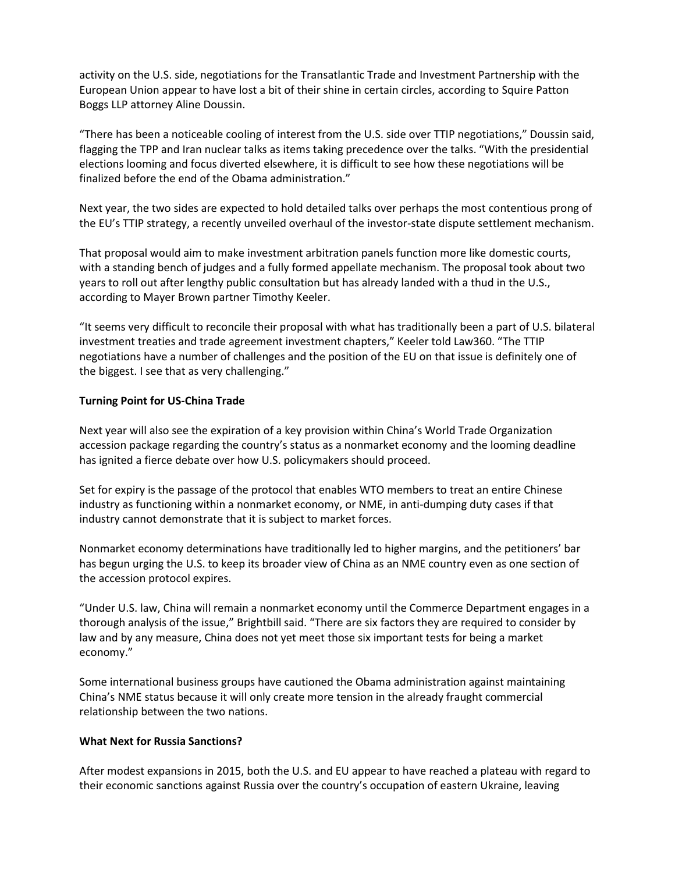activity on the U.S. side, negotiations for the Transatlantic Trade and Investment Partnership with the European Union appear to have lost a bit of their shine in certain circles, according to Squire Patton Boggs LLP attorney Aline Doussin.

"There has been a noticeable cooling of interest from the U.S. side over TTIP negotiations," Doussin said, flagging the TPP and Iran nuclear talks as items taking precedence over the talks. "With the presidential elections looming and focus diverted elsewhere, it is difficult to see how these negotiations will be finalized before the end of the Obama administration."

Next year, the two sides are expected to hold detailed talks over perhaps the most contentious prong of the EU's TTIP strategy, a recently unveiled overhaul of the investor-state dispute settlement mechanism.

That proposal would aim to make investment arbitration panels function more like domestic courts, with a standing bench of judges and a fully formed appellate mechanism. The proposal took about two years to roll out after lengthy public consultation but has already landed with a thud in the U.S., according to Mayer Brown partner Timothy Keeler.

"It seems very difficult to reconcile their proposal with what has traditionally been a part of U.S. bilateral investment treaties and trade agreement investment chapters," Keeler told Law360. "The TTIP negotiations have a number of challenges and the position of the EU on that issue is definitely one of the biggest. I see that as very challenging."

# **Turning Point for US-China Trade**

Next year will also see the expiration of a key provision within China's World Trade Organization accession package regarding the country's status as a nonmarket economy and the looming deadline has ignited a fierce debate over how U.S. policymakers should proceed.

Set for expiry is the passage of the protocol that enables WTO members to treat an entire Chinese industry as functioning within a nonmarket economy, or NME, in anti-dumping duty cases if that industry cannot demonstrate that it is subject to market forces.

Nonmarket economy determinations have traditionally led to higher margins, and the petitioners' bar has begun urging the U.S. to keep its broader view of China as an NME country even as one section of the accession protocol expires.

"Under U.S. law, China will remain a nonmarket economy until the Commerce Department engages in a thorough analysis of the issue," Brightbill said. "There are six factors they are required to consider by law and by any measure, China does not yet meet those six important tests for being a market economy."

Some international business groups have cautioned the Obama administration against maintaining China's NME status because it will only create more tension in the already fraught commercial relationship between the two nations.

### **What Next for Russia Sanctions?**

After modest expansions in 2015, both the U.S. and EU appear to have reached a plateau with regard to their economic sanctions against Russia over the country's occupation of eastern Ukraine, leaving